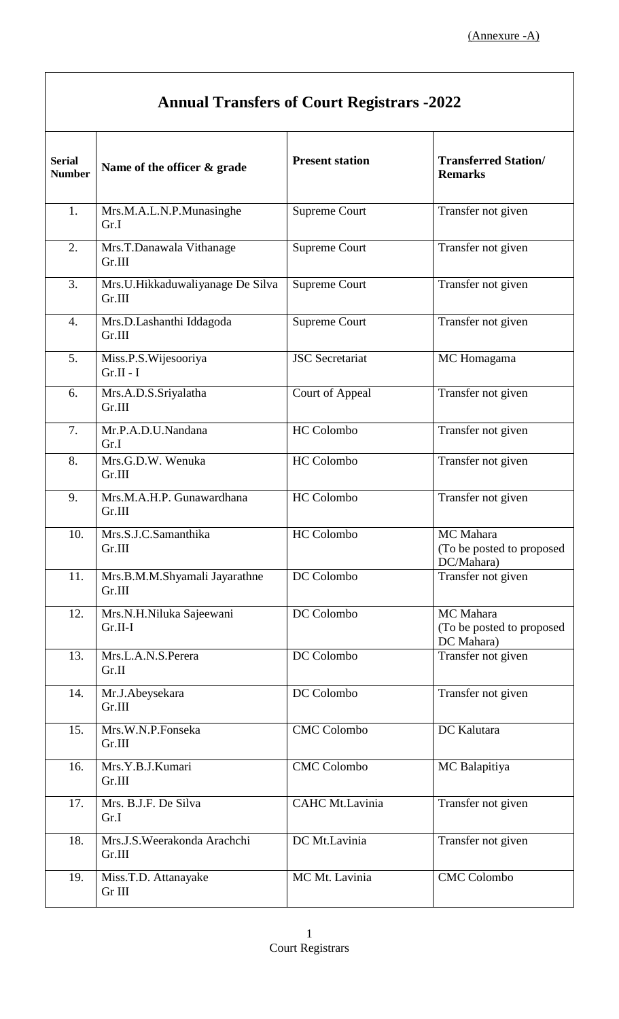| <b>Annual Transfers of Court Registrars -2022</b> |                                            |                        |                                                      |
|---------------------------------------------------|--------------------------------------------|------------------------|------------------------------------------------------|
| <b>Serial</b><br><b>Number</b>                    | Name of the officer & grade                | <b>Present station</b> | <b>Transferred Station/</b><br><b>Remarks</b>        |
| 1.                                                | Mrs.M.A.L.N.P.Munasinghe<br>Gr.I           | <b>Supreme Court</b>   | Transfer not given                                   |
| 2.                                                | Mrs.T.Danawala Vithanage<br>Gr.III         | Supreme Court          | Transfer not given                                   |
| 3.                                                | Mrs.U.Hikkaduwaliyanage De Silva<br>Gr.III | <b>Supreme Court</b>   | Transfer not given                                   |
| 4.                                                | Mrs.D.Lashanthi Iddagoda<br>Gr.III         | <b>Supreme Court</b>   | Transfer not given                                   |
| 5.                                                | Miss.P.S. Wijesooriya<br>$Gr.II-I$         | <b>JSC</b> Secretariat | MC Homagama                                          |
| 6.                                                | Mrs.A.D.S.Sriyalatha<br>Gr.III             | Court of Appeal        | Transfer not given                                   |
| 7.                                                | Mr.P.A.D.U.Nandana<br>Gr.I                 | <b>HC</b> Colombo      | Transfer not given                                   |
| 8.                                                | Mrs.G.D.W. Wenuka<br>Gr.III                | <b>HC</b> Colombo      | Transfer not given                                   |
| 9.                                                | Mrs.M.A.H.P. Gunawardhana<br>Gr.III        | <b>HC</b> Colombo      | Transfer not given                                   |
| 10.                                               | Mrs.S.J.C.Samanthika<br>Gr.III             | <b>HC</b> Colombo      | MC Mahara<br>(To be posted to proposed<br>DC/Mahara) |
| 11.                                               | Mrs.B.M.M.Shyamali Jayarathne<br>Gr.III    | DC Colombo             | Transfer not given                                   |
| 12.                                               | Mrs.N.H.Niluka Sajeewani<br>$Gr.II-I$      | DC Colombo             | MC Mahara<br>(To be posted to proposed<br>DC Mahara) |
| 13.                                               | Mrs.L.A.N.S.Perera<br>Gr.II                | DC Colombo             | Transfer not given                                   |
| 14.                                               | Mr.J.Abeysekara<br>Gr.III                  | DC Colombo             | Transfer not given                                   |
| 15.                                               | Mrs.W.N.P.Fonseka<br>Gr.III                | <b>CMC</b> Colombo     | DC Kalutara                                          |
| 16.                                               | Mrs.Y.B.J.Kumari<br>Gr.III                 | <b>CMC Colombo</b>     | MC Balapitiya                                        |
| 17.                                               | Mrs. B.J.F. De Silva<br>Gr.I               | CAHC Mt.Lavinia        | Transfer not given                                   |
| 18.                                               | Mrs.J.S.Weerakonda Arachchi<br>Gr.III      | DC Mt.Lavinia          | Transfer not given                                   |
| 19.                                               | Miss.T.D. Attanayake<br>Gr III             | MC Mt. Lavinia         | <b>CMC</b> Colombo                                   |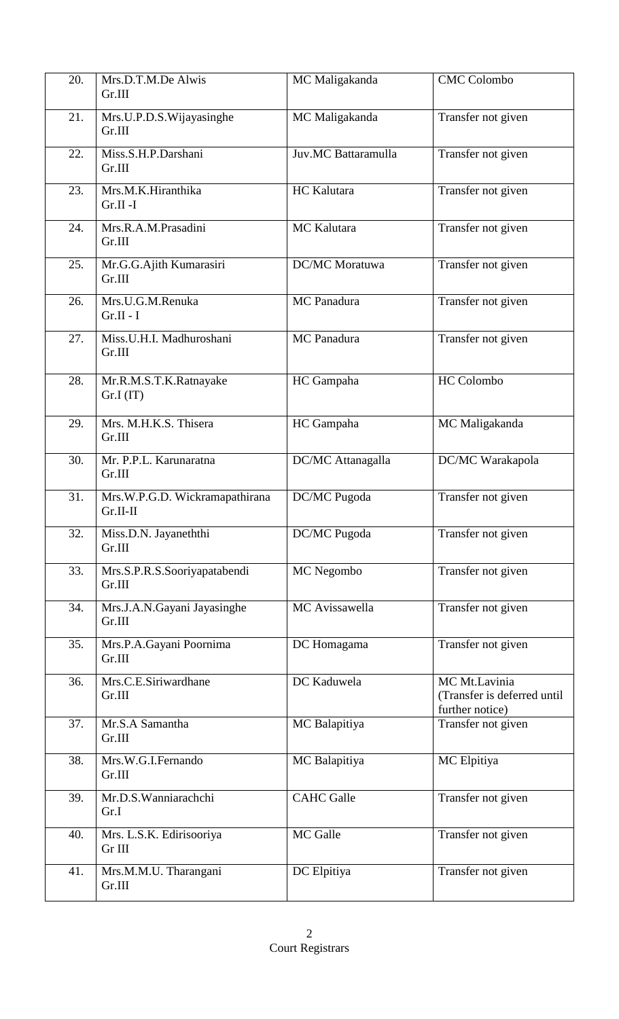| 20. | Mrs.D.T.M.De Alwis<br>Gr.III                 | MC Maligakanda        | <b>CMC Colombo</b>                                              |
|-----|----------------------------------------------|-----------------------|-----------------------------------------------------------------|
| 21. | Mrs.U.P.D.S.Wijayasinghe<br>Gr.III           | MC Maligakanda        | Transfer not given                                              |
| 22. | Miss.S.H.P.Darshani<br>Gr.III                | Juv.MC Battaramulla   | Transfer not given                                              |
| 23. | Mrs.M.K.Hiranthika<br>$Gr.II-I$              | HC Kalutara           | Transfer not given                                              |
| 24. | Mrs.R.A.M.Prasadini<br>Gr.III                | MC Kalutara           | Transfer not given                                              |
| 25. | Mr.G.G.Ajith Kumarasiri<br>Gr.III            | <b>DC/MC</b> Moratuwa | Transfer not given                                              |
| 26. | Mrs.U.G.M.Renuka<br>$Gr.II - I$              | <b>MC</b> Panadura    | Transfer not given                                              |
| 27. | Miss.U.H.I. Madhuroshani<br>Gr.III           | <b>MC</b> Panadura    | Transfer not given                                              |
| 28. | Mr.R.M.S.T.K.Ratnayake<br>Gr.I (IT)          | HC Gampaha            | HC Colombo                                                      |
| 29. | Mrs. M.H.K.S. Thisera<br>Gr.III              | HC Gampaha            | MC Maligakanda                                                  |
| 30. | Mr. P.P.L. Karunaratna<br>Gr.III             | DC/MC Attanagalla     | DC/MC Warakapola                                                |
| 31. | Mrs.W.P.G.D. Wickramapathirana<br>$Gr.II-II$ | DC/MC Pugoda          | Transfer not given                                              |
| 32. | Miss.D.N. Jayaneththi<br>Gr.III              | DC/MC Pugoda          | Transfer not given                                              |
| 33. | Mrs.S.P.R.S.Sooriyapatabendi<br>Gr.III       | MC Negombo            | Transfer not given                                              |
| 34. | Mrs.J.A.N.Gayani Jayasinghe<br>Gr.III        | MC Avissawella        | Transfer not given                                              |
| 35. | Mrs.P.A.Gayani Poornima<br>Gr.III            | DC Homagama           | Transfer not given                                              |
| 36. | Mrs.C.E.Siriwardhane<br>Gr.III               | DC Kaduwela           | MC Mt.Lavinia<br>(Transfer is deferred until<br>further notice) |
| 37. | Mr.S.A Samantha<br>Gr.III                    | MC Balapitiya         | Transfer not given                                              |
| 38. | Mrs.W.G.I.Fernando<br>Gr.III                 | MC Balapitiya         | MC Elpitiya                                                     |
| 39. | Mr.D.S.Wanniarachchi<br>Gr.I                 | <b>CAHC</b> Galle     | Transfer not given                                              |
| 40. | Mrs. L.S.K. Edirisooriya<br>Gr III           | MC Galle              | Transfer not given                                              |
| 41. | Mrs.M.M.U. Tharangani<br>Gr.III              | DC Elpitiya           | Transfer not given                                              |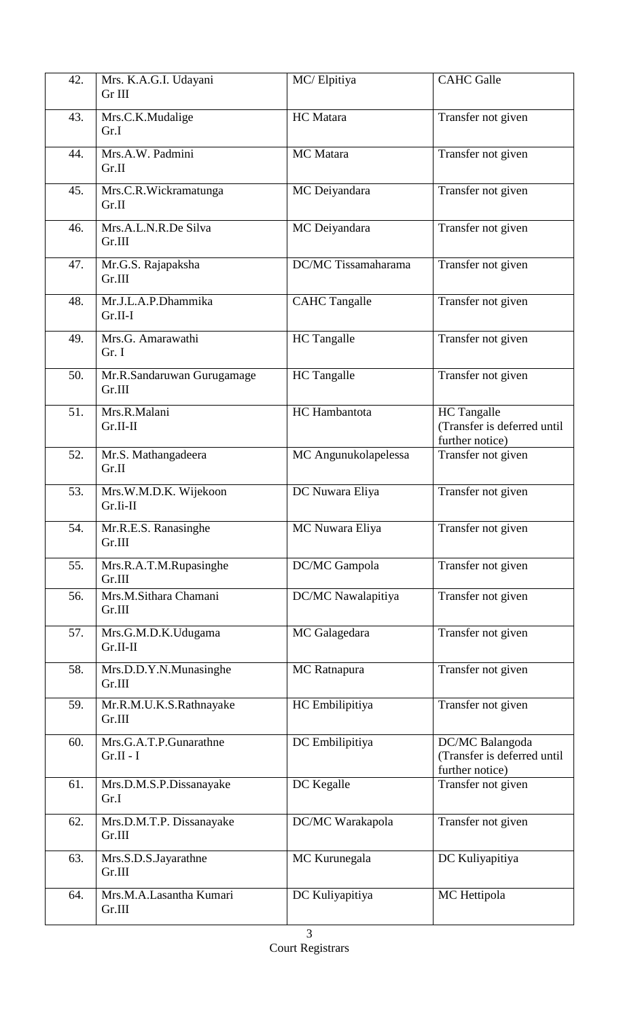| 42.               | Mrs. K.A.G.I. Udayani                | MC/Elpitiya          | <b>CAHC</b> Galle                                                    |
|-------------------|--------------------------------------|----------------------|----------------------------------------------------------------------|
|                   | Gr III                               |                      |                                                                      |
| 43.               | Mrs.C.K.Mudalige<br>Gr.I             | HC Matara            | Transfer not given                                                   |
| 44.               | Mrs.A.W. Padmini<br>Gr.II            | MC Matara            | Transfer not given                                                   |
| 45.               | Mrs.C.R.Wickramatunga<br>Gr.II       | MC Deiyandara        | Transfer not given                                                   |
| 46.               | Mrs.A.L.N.R.De Silva<br>Gr.III       | MC Deiyandara        | Transfer not given                                                   |
| 47.               | Mr.G.S. Rajapaksha<br>Gr.III         | DC/MC Tissamaharama  | Transfer not given                                                   |
| 48.               | Mr.J.L.A.P.Dhammika<br>$Gr.II-I$     | <b>CAHC Tangalle</b> | Transfer not given                                                   |
| 49.               | Mrs.G. Amarawathi<br>Gr. I           | <b>HC</b> Tangalle   | Transfer not given                                                   |
| 50.               | Mr.R.Sandaruwan Gurugamage<br>Gr.III | <b>HC</b> Tangalle   | Transfer not given                                                   |
| 51.               | Mrs.R.Malani<br>Gr.II-II             | HC Hambantota        | <b>HC</b> Tangalle<br>(Transfer is deferred until<br>further notice) |
| $\overline{52}$ . | Mr.S. Mathangadeera<br>Gr.II         | MC Angunukolapelessa | Transfer not given                                                   |
| 53.               | Mrs.W.M.D.K. Wijekoon<br>Gr.Ii-II    | DC Nuwara Eliya      | Transfer not given                                                   |
| 54.               | Mr.R.E.S. Ranasinghe<br>Gr.III       | MC Nuwara Eliya      | Transfer not given                                                   |
| 55.               | Mrs.R.A.T.M.Rupasinghe<br>Gr.III     | DC/MC Gampola        | Transfer not given                                                   |
| 56.               | Mrs.M.Sithara Chamani<br>Gr.III      | DC/MC Nawalapitiya   | Transfer not given                                                   |
| 57.               | Mrs.G.M.D.K.Udugama<br>Gr.II-II      | MC Galagedara        | Transfer not given                                                   |
| 58.               | Mrs.D.D.Y.N.Munasinghe<br>Gr.III     | MC Ratnapura         | Transfer not given                                                   |
| 59.               | Mr.R.M.U.K.S.Rathnayake<br>Gr.III    | HC Embilipitiya      | Transfer not given                                                   |
| 60.               | Mrs.G.A.T.P.Gunarathne<br>$Gr.II-I$  | DC Embilipitiya      | DC/MC Balangoda<br>(Transfer is deferred until<br>further notice)    |
| 61.               | Mrs.D.M.S.P.Dissanayake<br>Gr.I      | DC Kegalle           | Transfer not given                                                   |
| 62.               | Mrs.D.M.T.P. Dissanayake<br>Gr.III   | DC/MC Warakapola     | Transfer not given                                                   |
| 63.               | Mrs.S.D.S.Jayarathne<br>Gr.III       | MC Kurunegala        | DC Kuliyapitiya                                                      |
| 64.               | Mrs.M.A.Lasantha Kumari<br>Gr.III    | DC Kuliyapitiya      | MC Hettipola                                                         |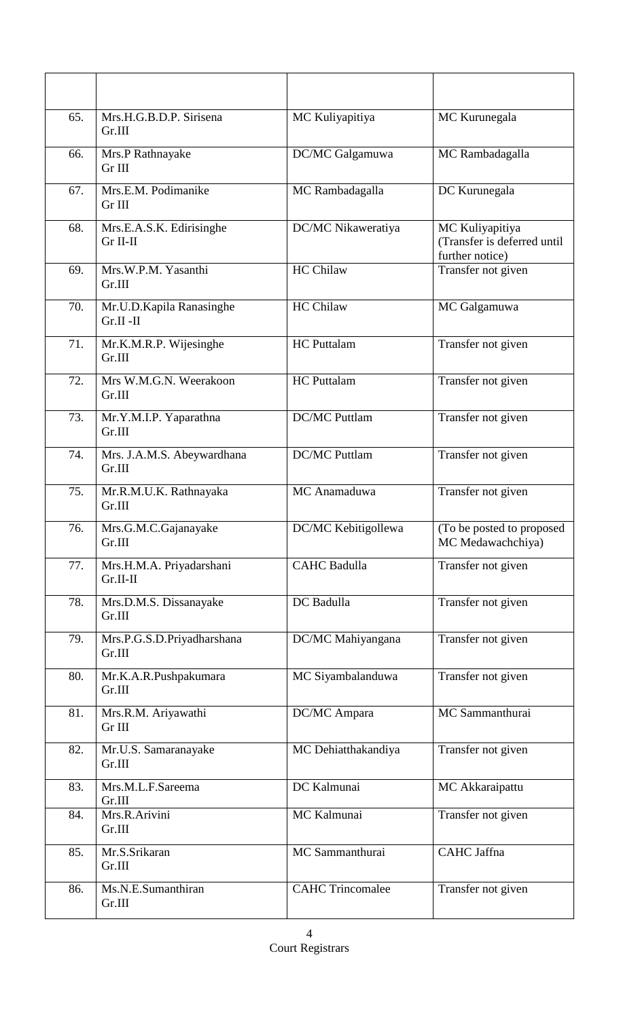| 65. | Mrs.H.G.B.D.P. Sirisena<br>Gr.III       | MC Kuliyapitiya         | MC Kurunegala                                                     |
|-----|-----------------------------------------|-------------------------|-------------------------------------------------------------------|
| 66. | Mrs.P Rathnayake<br>Gr III              | DC/MC Galgamuwa         | MC Rambadagalla                                                   |
| 67. | Mrs.E.M. Podimanike<br>Gr III           | MC Rambadagalla         | DC Kurunegala                                                     |
| 68. | Mrs.E.A.S.K. Edirisinghe<br>Gr II-II    | DC/MC Nikaweratiya      | MC Kuliyapitiya<br>(Transfer is deferred until<br>further notice) |
| 69. | Mrs.W.P.M. Yasanthi<br>Gr.III           | <b>HC Chilaw</b>        | Transfer not given                                                |
| 70. | Mr.U.D.Kapila Ranasinghe<br>$Gr.II -II$ | <b>HC Chilaw</b>        | MC Galgamuwa                                                      |
| 71. | Mr.K.M.R.P. Wijesinghe<br>Gr.III        | <b>HC</b> Puttalam      | Transfer not given                                                |
| 72. | Mrs W.M.G.N. Weerakoon<br>Gr.III        | <b>HC</b> Puttalam      | Transfer not given                                                |
| 73. | Mr.Y.M.I.P. Yaparathna<br>Gr.III        | <b>DC/MC Puttlam</b>    | Transfer not given                                                |
| 74. | Mrs. J.A.M.S. Abeywardhana<br>Gr.III    | <b>DC/MC Puttlam</b>    | Transfer not given                                                |
| 75. | Mr.R.M.U.K. Rathnayaka<br>Gr.III        | MC Anamaduwa            | Transfer not given                                                |
| 76. | Mrs.G.M.C.Gajanayake<br>Gr.III          | DC/MC Kebitigollewa     | (To be posted to proposed<br>MC Medawachchiya)                    |
| 77. | Mrs.H.M.A. Priyadarshani<br>Gr.II-II    | <b>CAHC Badulla</b>     | Transfer not given                                                |
| 78. | Mrs.D.M.S. Dissanayake<br>Gr.III        | DC Badulla              | Transfer not given                                                |
| 79. | Mrs.P.G.S.D.Priyadharshana<br>Gr.III    | DC/MC Mahiyangana       | Transfer not given                                                |
| 80. | Mr.K.A.R.Pushpakumara<br>Gr.III         | MC Siyambalanduwa       | Transfer not given                                                |
| 81. | Mrs.R.M. Ariyawathi<br>Gr III           | DC/MC Ampara            | MC Sammanthurai                                                   |
| 82. | Mr.U.S. Samaranayake<br>Gr.III          | MC Dehiatthakandiya     | Transfer not given                                                |
| 83. | Mrs.M.L.F.Sareema<br>Gr.III             | DC Kalmunai             | MC Akkaraipattu                                                   |
| 84. | Mrs.R.Arivini<br>Gr.III                 | MC Kalmunai             | Transfer not given                                                |
| 85. | Mr.S.Srikaran<br>Gr.III                 | MC Sammanthurai         | CAHC Jaffna                                                       |
| 86. | Ms.N.E.Sumanthiran<br>Gr.III            | <b>CAHC Trincomalee</b> | Transfer not given                                                |